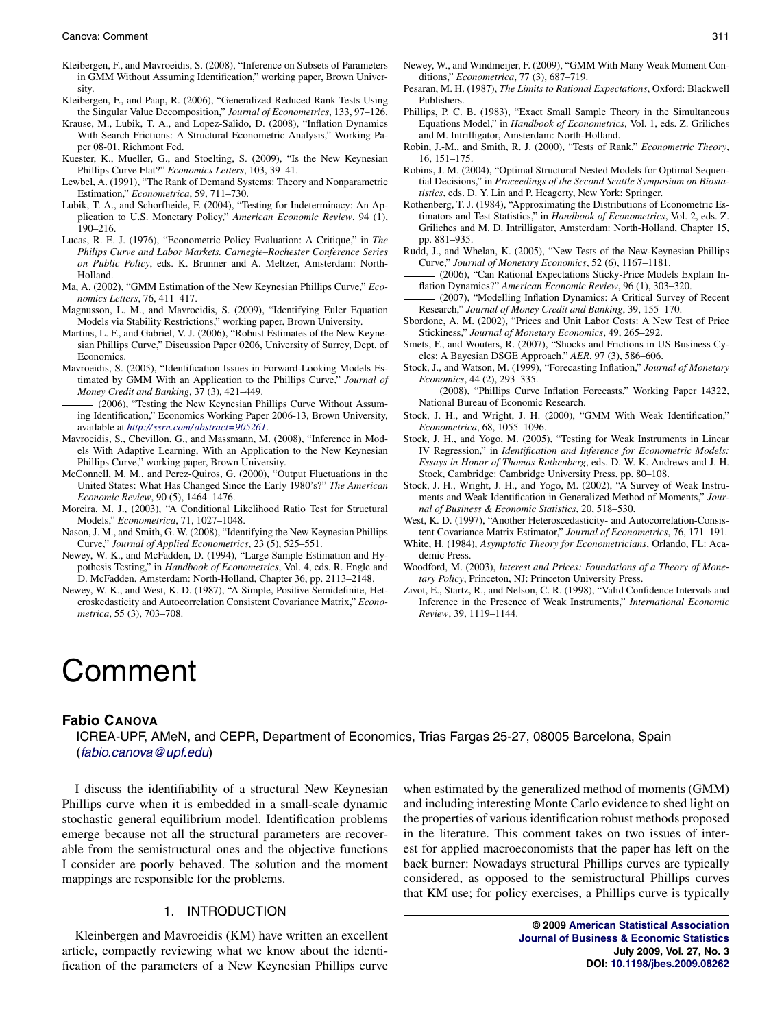- Kleibergen, F., and Mavroeidis, S. (2008), "Inference on Subsets of Parameters in GMM Without Assuming Identification," working paper, Brown University.
- Kleibergen, F., and Paap, R. (2006), "Generalized Reduced Rank Tests Using the Singular Value Decomposition," *Journal of Econometrics*, 133, 97–126.
- Krause, M., Lubik, T. A., and Lopez-Salido, D. (2008), "Inflation Dynamics With Search Frictions: A Structural Econometric Analysis," Working Paper 08-01, Richmont Fed.
- Kuester, K., Mueller, G., and Stoelting, S. (2009), "Is the New Keynesian Phillips Curve Flat?" *Economics Letters*, 103, 39–41.
- Lewbel, A. (1991), "The Rank of Demand Systems: Theory and Nonparametric Estimation," *Econometrica*, 59, 711–730.
- Lubik, T. A., and Schorfheide, F. (2004), "Testing for Indeterminacy: An Application to U.S. Monetary Policy," *American Economic Review*, 94 (1), 190–216.
- Lucas, R. E. J. (1976), "Econometric Policy Evaluation: A Critique," in *The Philips Curve and Labor Markets. Carnegie–Rochester Conference Series on Public Policy*, eds. K. Brunner and A. Meltzer, Amsterdam: North-Holland.
- Ma, A. (2002), "GMM Estimation of the New Keynesian Phillips Curve," *Economics Letters*, 76, 411–417.
- Magnusson, L. M., and Mavroeidis, S. (2009), "Identifying Euler Equation Models via Stability Restrictions," working paper, Brown University.
- Martins, L. F., and Gabriel, V. J. (2006), "Robust Estimates of the New Keynesian Phillips Curve," Discussion Paper 0206, University of Surrey, Dept. of Economics.
- Mavroeidis, S. (2005), "Identification Issues in Forward-Looking Models Estimated by GMM With an Application to the Phillips Curve," *Journal of Money Credit and Banking*, 37 (3), 421–449.
- (2006), "Testing the New Keynesian Phillips Curve Without Assuming Identification," Economics Working Paper 2006-13, Brown University, available at *<http://ssrn.com/abstract=905261>*.
- Mavroeidis, S., Chevillon, G., and Massmann, M. (2008), "Inference in Models With Adaptive Learning, With an Application to the New Keynesian Phillips Curve," working paper, Brown University.
- McConnell, M. M., and Perez-Quiros, G. (2000), "Output Fluctuations in the United States: What Has Changed Since the Early 1980's?" *The American Economic Review*, 90 (5), 1464–1476.
- Moreira, M. J., (2003), "A Conditional Likelihood Ratio Test for Structural Models," *Econometrica*, 71, 1027–1048.
- Nason, J. M., and Smith, G. W. (2008), "Identifying the New Keynesian Phillips Curve," *Journal of Applied Econometrics*, 23 (5), 525–551.
- Newey, W. K., and McFadden, D. (1994), "Large Sample Estimation and Hypothesis Testing," in *Handbook of Econometrics*, Vol. 4, eds. R. Engle and D. McFadden, Amsterdam: North-Holland, Chapter 36, pp. 2113–2148.
- Newey, W. K., and West, K. D. (1987), "A Simple, Positive Semidefinite, Heteroskedasticity and Autocorrelation Consistent Covariance Matrix," *Econometrica*, 55 (3), 703–708.
- Pesaran, M. H. (1987), *The Limits to Rational Expectations*, Oxford: Blackwell Publishers.
- Phillips, P. C. B. (1983), "Exact Small Sample Theory in the Simultaneous Equations Model," in *Handbook of Econometrics*, Vol. 1, eds. Z. Griliches and M. Intrilligator, Amsterdam: North-Holland.
- Robin, J.-M., and Smith, R. J. (2000), "Tests of Rank," *Econometric Theory*, 16, 151–175.
- Robins, J. M. (2004), "Optimal Structural Nested Models for Optimal Sequential Decisions," in *Proceedings of the Second Seattle Symposium on Biostatistics*, eds. D. Y. Lin and P. Heagerty, New York: Springer.
- Rothenberg, T. J. (1984), "Approximating the Distributions of Econometric Estimators and Test Statistics," in *Handbook of Econometrics*, Vol. 2, eds. Z. Griliches and M. D. Intrilligator, Amsterdam: North-Holland, Chapter 15, pp. 881–935.
- Rudd, J., and Whelan, K. (2005), "New Tests of the New-Keynesian Phillips Curve," *Journal of Monetary Economics*, 52 (6), 1167–1181.
- (2006), "Can Rational Expectations Sticky-Price Models Explain Inflation Dynamics?" *American Economic Review*, 96 (1), 303–320.
- (2007), "Modelling Inflation Dynamics: A Critical Survey of Recent Research," *Journal of Money Credit and Banking*, 39, 155–170.
- Sbordone, A. M. (2002), "Prices and Unit Labor Costs: A New Test of Price Stickiness," *Journal of Monetary Economics*, 49, 265–292.
- Smets, F., and Wouters, R. (2007), "Shocks and Frictions in US Business Cycles: A Bayesian DSGE Approach," *AER*, 97 (3), 586–606.
- Stock, J., and Watson, M. (1999), "Forecasting Inflation," *Journal of Monetary Economics*, 44 (2), 293–335.
- (2008), "Phillips Curve Inflation Forecasts," Working Paper 14322, National Bureau of Economic Research.
- Stock, J. H., and Wright, J. H. (2000), "GMM With Weak Identification," *Econometrica*, 68, 1055–1096.
- Stock, J. H., and Yogo, M. (2005), "Testing for Weak Instruments in Linear IV Regression," in *Identification and Inference for Econometric Models: Essays in Honor of Thomas Rothenberg*, eds. D. W. K. Andrews and J. H. Stock, Cambridge: Cambridge University Press, pp. 80–108.
- Stock, J. H., Wright, J. H., and Yogo, M. (2002), "A Survey of Weak Instruments and Weak Identification in Generalized Method of Moments," *Journal of Business & Economic Statistics*, 20, 518–530.
- West, K. D. (1997), "Another Heteroscedasticity- and Autocorrelation-Consistent Covariance Matrix Estimator," *Journal of Econometrics*, 76, 171–191.
- White, H. (1984), *Asymptotic Theory for Econometricians*, Orlando, FL: Academic Press.
- Woodford, M. (2003), *Interest and Prices: Foundations of a Theory of Monetary Policy*, Princeton, NJ: Princeton University Press.
- Zivot, E., Startz, R., and Nelson, C. R. (1998), "Valid Confidence Intervals and Inference in the Presence of Weak Instruments," *International Economic Review*, 39, 1119–1144.

# Comment

## **Fabio CANOVA**

ICREA-UPF, AMeN, and CEPR, Department of Economics, Trias Fargas 25-27, 08005 Barcelona, Spain ([fabio.canova@upf.edu](mailto:fabio.canova@upf.edu))

I discuss the identifiability of a structural New Keynesian Phillips curve when it is embedded in a small-scale dynamic stochastic general equilibrium model. Identification problems emerge because not all the structural parameters are recoverable from the semistructural ones and the objective functions I consider are poorly behaved. The solution and the moment mappings are responsible for the problems.

#### 1. INTRODUCTION

Kleinbergen and Mavroeidis (KM) have written an excellent article, compactly reviewing what we know about the identification of the parameters of a New Keynesian Phillips curve

when estimated by the generalized method of moments (GMM) and including interesting Monte Carlo evidence to shed light on the properties of various identification robust methods proposed in the literature. This comment takes on two issues of interest for applied macroeconomists that the paper has left on the back burner: Nowadays structural Phillips curves are typically considered, as opposed to the semistructural Phillips curves that KM use; for policy exercises, a Phillips curve is typically

> **© 2009 [American Statistical Association](http://www.amstat.org) [Journal of Business & Economic Statistics](http://pubs.amstat.org/loi/jbes) July 2009, Vol. 27, No. 3 DOI: [10.1198/jbes.2009.08262](http://dx.doi.org/10.1198/jbes.2009.08262)**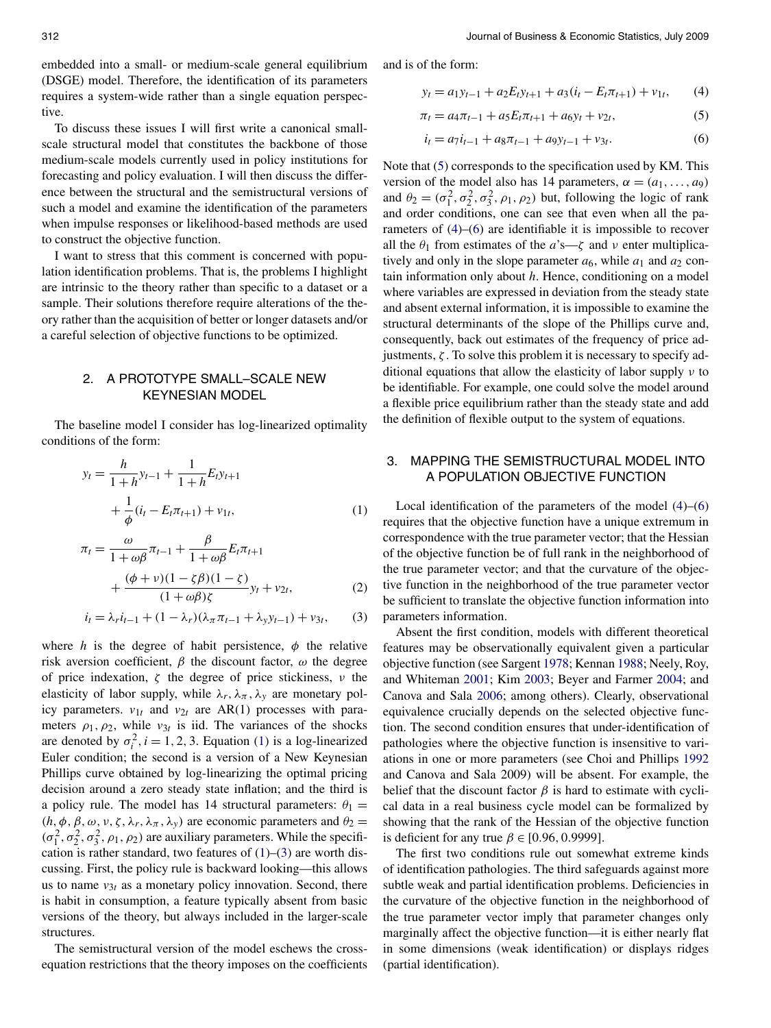<span id="page-1-0"></span>312 Journal of Business & Economic Statistics, July 2009

embedded into a small- or medium-scale general equilibrium (DSGE) model. Therefore, the identification of its parameters requires a system-wide rather than a single equation perspective.

To discuss these issues I will first write a canonical smallscale structural model that constitutes the backbone of those medium-scale models currently used in policy institutions for forecasting and policy evaluation. I will then discuss the difference between the structural and the semistructural versions of such a model and examine the identification of the parameters when impulse responses or likelihood-based methods are used to construct the objective function.

I want to stress that this comment is concerned with population identification problems. That is, the problems I highlight are intrinsic to the theory rather than specific to a dataset or a sample. Their solutions therefore require alterations of the theory rather than the acquisition of better or longer datasets and/or a careful selection of objective functions to be optimized.

## 2. A PROTOTYPE SMALL–SCALE NEW KEYNESIAN MODEL

The baseline model I consider has log-linearized optimality conditions of the form:

$$
y_t = \frac{h}{1+h} y_{t-1} + \frac{1}{1+h} E_t y_{t+1}
$$
  
+ 
$$
\frac{1}{\phi} (i_t - E_t \pi_{t+1}) + v_{1t},
$$
 (1)

$$
\pi_t = \frac{\omega}{1 + \omega\beta}\pi_{t-1} + \frac{\beta}{1 + \omega\beta}E_t\pi_{t+1} + \frac{(\phi + \nu)(1 - \zeta\beta)(1 - \zeta)}{(1 + \omega\beta)\zeta}y_t + v_{2t},
$$
\n(2)

$$
i_{t} = \lambda_{r} i_{t-1} + (1 - \lambda_{r}) (\lambda_{\pi} \pi_{t-1} + \lambda_{y} y_{t-1}) + v_{3t},
$$
 (3)

where *h* is the degree of habit persistence,  $\phi$  the relative risk aversion coefficient, *β* the discount factor, *ω* the degree of price indexation, *ζ* the degree of price stickiness, *ν* the elasticity of labor supply, while  $\lambda_r$ ,  $\lambda_\pi$ ,  $\lambda_\gamma$  are monetary policy parameters.  $v_{1t}$  and  $v_{2t}$  are AR(1) processes with parameters  $\rho_1$ ,  $\rho_2$ , while  $v_{3t}$  is iid. The variances of the shocks are denoted by  $\sigma_i^2$ ,  $i = 1, 2, 3$ . Equation (1) is a log-linearized Euler condition; the second is a version of a New Keynesian Phillips curve obtained by log-linearizing the optimal pricing decision around a zero steady state inflation; and the third is a policy rule. The model has 14 structural parameters:  $\theta_1$  = *(h, φ, β, ω, ν, ζ, λ<sub>r</sub>, λ<sub>π</sub>, λ<sub>y</sub>)* are economic parameters and  $θ_2$  =  $(\sigma_1^2, \sigma_2^2, \sigma_3^2, \rho_1, \rho_2)$  are auxiliary parameters. While the specification is rather standard, two features of  $(1)$ – $(3)$  are worth discussing. First, the policy rule is backward looking—this allows us to name  $v_{3t}$  as a monetary policy innovation. Second, there is habit in consumption, a feature typically absent from basic versions of the theory, but always included in the larger-scale structures.

The semistructural version of the model eschews the crossequation restrictions that the theory imposes on the coefficients and is of the form:

$$
y_t = a_1 y_{t-1} + a_2 E_t y_{t+1} + a_3 (i_t - E_t \pi_{t+1}) + v_{1t}, \qquad (4)
$$

$$
\pi_t = a_4 \pi_{t-1} + a_5 E_t \pi_{t+1} + a_6 y_t + v_{2t}, \tag{5}
$$

$$
i_t = a_7 i_{t-1} + a_8 \pi_{t-1} + a_9 y_{t-1} + v_{3t}.
$$
 (6)

Note that (5) corresponds to the specification used by KM. This version of the model also has 14 parameters,  $\alpha = (a_1, \ldots, a_9)$ and  $\theta_2 = (\sigma_1^2, \sigma_2^2, \sigma_3^2, \rho_1, \rho_2)$  but, following the logic of rank and order conditions, one can see that even when all the parameters of (4)–(6) are identifiable it is impossible to recover all the  $\theta_1$  from estimates of the  $a$ 's— $\zeta$  and  $\nu$  enter multiplicatively and only in the slope parameter  $a_6$ , while  $a_1$  and  $a_2$  contain information only about *h*. Hence, conditioning on a model where variables are expressed in deviation from the steady state and absent external information, it is impossible to examine the structural determinants of the slope of the Phillips curve and, consequently, back out estimates of the frequency of price adjustments,  $\zeta$ . To solve this problem it is necessary to specify additional equations that allow the elasticity of labor supply *ν* to be identifiable. For example, one could solve the model around a flexible price equilibrium rather than the steady state and add the definition of flexible output to the system of equations.

#### 3. MAPPING THE SEMISTRUCTURAL MODEL INTO A POPULATION OBJECTIVE FUNCTION

Local identification of the parameters of the model (4)–(6) requires that the objective function have a unique extremum in correspondence with the true parameter vector; that the Hessian of the objective function be of full rank in the neighborhood of the true parameter vector; and that the curvature of the objective function in the neighborhood of the true parameter vector be sufficient to translate the objective function information into parameters information.

Absent the first condition, models with different theoretical features may be observationally equivalent given a particular objective function (see Sargent [1978;](#page-4-0) Kennan [1988;](#page-4-0) Neely, Roy, and Whiteman [2001;](#page-4-0) Kim [2003;](#page-4-0) Beyer and Farmer [2004;](#page-4-0) and Canova and Sala [2006;](#page-4-0) among others). Clearly, observational equivalence crucially depends on the selected objective function. The second condition ensures that under-identification of pathologies where the objective function is insensitive to variations in one or more parameters (see Choi and Phillips [1992](#page-4-0) and Canova and Sala 2009) will be absent. For example, the belief that the discount factor  $\beta$  is hard to estimate with cyclical data in a real business cycle model can be formalized by showing that the rank of the Hessian of the objective function is deficient for any true *β* ∈ [0*.*96*,* 0*.*9999].

The first two conditions rule out somewhat extreme kinds of identification pathologies. The third safeguards against more subtle weak and partial identification problems. Deficiencies in the curvature of the objective function in the neighborhood of the true parameter vector imply that parameter changes only marginally affect the objective function—it is either nearly flat in some dimensions (weak identification) or displays ridges (partial identification).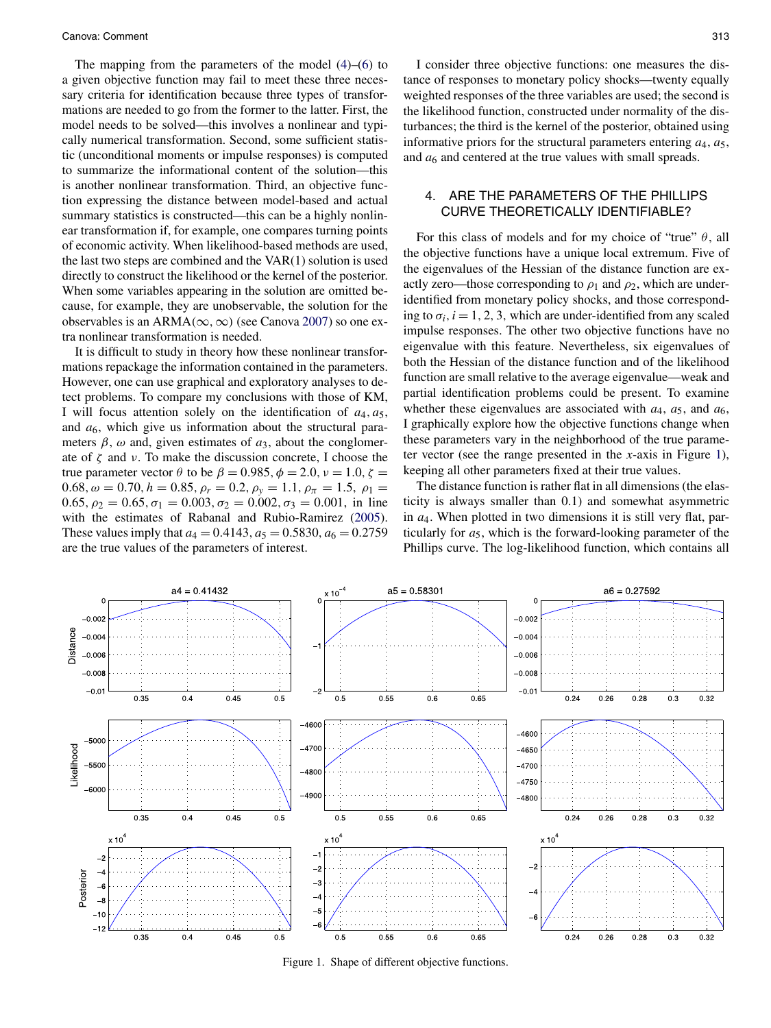<span id="page-2-0"></span>The mapping from the parameters of the model [\(4\)](#page-1-0)–[\(6\)](#page-1-0) to a given objective function may fail to meet these three necessary criteria for identification because three types of transformations are needed to go from the former to the latter. First, the model needs to be solved—this involves a nonlinear and typically numerical transformation. Second, some sufficient statistic (unconditional moments or impulse responses) is computed to summarize the informational content of the solution—this is another nonlinear transformation. Third, an objective function expressing the distance between model-based and actual summary statistics is constructed—this can be a highly nonlinear transformation if, for example, one compares turning points of economic activity. When likelihood-based methods are used, the last two steps are combined and the VAR(1) solution is used directly to construct the likelihood or the kernel of the posterior. When some variables appearing in the solution are omitted because, for example, they are unobservable, the solution for the observables is an ARMA $(\infty, \infty)$  (see Canova [2007\)](#page-4-0) so one extra nonlinear transformation is needed.

It is difficult to study in theory how these nonlinear transformations repackage the information contained in the parameters. However, one can use graphical and exploratory analyses to detect problems. To compare my conclusions with those of KM, I will focus attention solely on the identification of  $a_4$ ,  $a_5$ , and  $a<sub>6</sub>$ , which give us information about the structural parameters  $\beta$ ,  $\omega$  and, given estimates of  $a_3$ , about the conglomerate of *ζ* and *ν*. To make the discussion concrete, I choose the true parameter vector *θ* to be  $β = 0.985, φ = 2.0, ν = 1.0, ζ =$ 0*.*68*,*  $\omega = 0.70$ *,*  $h = 0.85$ *,*  $\rho_r = 0.2$ *,*  $\rho_y = 1.1$ *,*  $\rho_\pi = 1.5$ *,*  $\rho_1 =$  $0.65, \rho_2 = 0.65, \sigma_1 = 0.003, \sigma_2 = 0.002, \sigma_3 = 0.001$ , in line with the estimates of Rabanal and Rubio-Ramirez [\(2005\)](#page-4-0). These values imply that  $a_4 = 0.4143$ ,  $a_5 = 0.5830$ ,  $a_6 = 0.2759$ are the true values of the parameters of interest.

I consider three objective functions: one measures the distance of responses to monetary policy shocks—twenty equally weighted responses of the three variables are used; the second is the likelihood function, constructed under normality of the disturbances; the third is the kernel of the posterior, obtained using informative priors for the structural parameters entering  $a_4$ ,  $a_5$ , and  $a_6$  and centered at the true values with small spreads.

#### 4. ARE THE PARAMETERS OF THE PHILLIPS CURVE THEORETICALLY IDENTIFIABLE?

For this class of models and for my choice of "true"  $\theta$ , all the objective functions have a unique local extremum. Five of the eigenvalues of the Hessian of the distance function are exactly zero—those corresponding to  $\rho_1$  and  $\rho_2$ , which are underidentified from monetary policy shocks, and those corresponding to  $\sigma_i$ ,  $i = 1, 2, 3$ , which are under-identified from any scaled impulse responses. The other two objective functions have no eigenvalue with this feature. Nevertheless, six eigenvalues of both the Hessian of the distance function and of the likelihood function are small relative to the average eigenvalue—weak and partial identification problems could be present. To examine whether these eigenvalues are associated with  $a_4$ ,  $a_5$ , and  $a_6$ , I graphically explore how the objective functions change when these parameters vary in the neighborhood of the true parameter vector (see the range presented in the *x*-axis in Figure 1), keeping all other parameters fixed at their true values.

The distance function is rather flat in all dimensions (the elasticity is always smaller than 0.1) and somewhat asymmetric in *a*4. When plotted in two dimensions it is still very flat, particularly for  $a_5$ , which is the forward-looking parameter of the Phillips curve. The log-likelihood function, which contains all



Figure 1. Shape of different objective functions.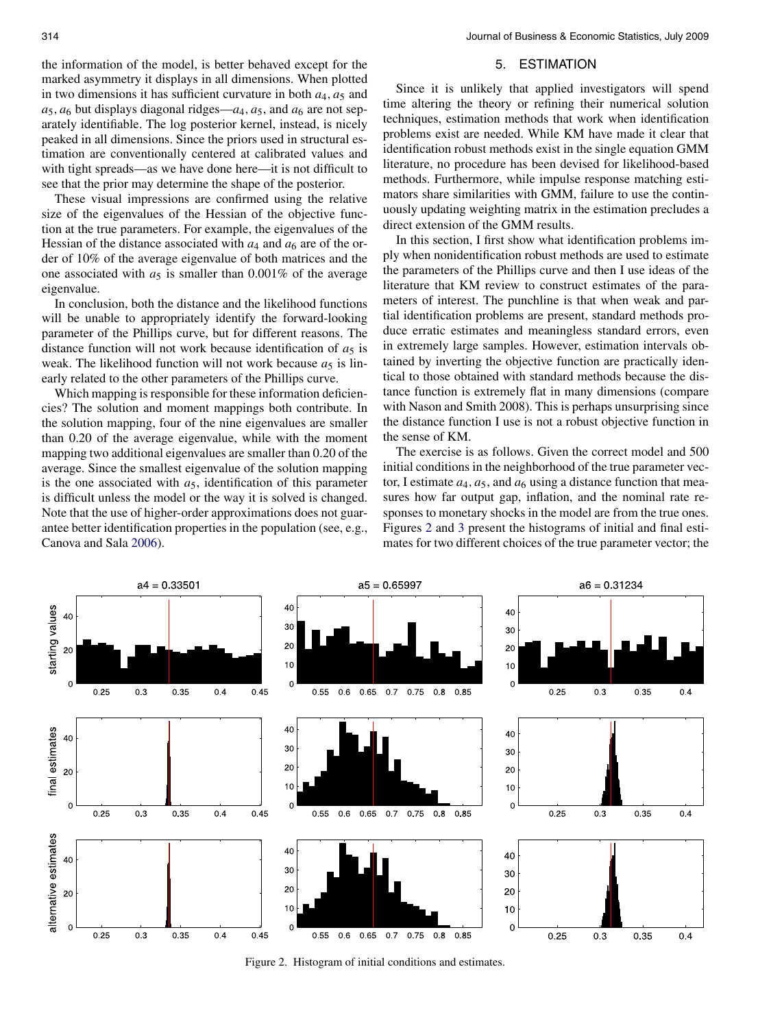<span id="page-3-0"></span>the information of the model, is better behaved except for the marked asymmetry it displays in all dimensions. When plotted in two dimensions it has sufficient curvature in both  $a_4$ ,  $a_5$  and  $a_5$ ,  $a_6$  but displays diagonal ridges— $a_4$ ,  $a_5$ , and  $a_6$  are not separately identifiable. The log posterior kernel, instead, is nicely peaked in all dimensions. Since the priors used in structural estimation are conventionally centered at calibrated values and with tight spreads—as we have done here—it is not difficult to see that the prior may determine the shape of the posterior.

These visual impressions are confirmed using the relative size of the eigenvalues of the Hessian of the objective function at the true parameters. For example, the eigenvalues of the Hessian of the distance associated with  $a_4$  and  $a_6$  are of the order of 10% of the average eigenvalue of both matrices and the one associated with  $a_5$  is smaller than 0.001% of the average eigenvalue.

In conclusion, both the distance and the likelihood functions will be unable to appropriately identify the forward-looking parameter of the Phillips curve, but for different reasons. The distance function will not work because identification of  $a_5$  is weak. The likelihood function will not work because  $a_5$  is linearly related to the other parameters of the Phillips curve.

Which mapping is responsible for these information deficiencies? The solution and moment mappings both contribute. In the solution mapping, four of the nine eigenvalues are smaller than 0.20 of the average eigenvalue, while with the moment mapping two additional eigenvalues are smaller than 0.20 of the average. Since the smallest eigenvalue of the solution mapping is the one associated with  $a<sub>5</sub>$ , identification of this parameter is difficult unless the model or the way it is solved is changed. Note that the use of higher-order approximations does not guarantee better identification properties in the population (see, e.g., Canova and Sala [2006\)](#page-4-0).

## 5. ESTIMATION

Since it is unlikely that applied investigators will spend time altering the theory or refining their numerical solution techniques, estimation methods that work when identification problems exist are needed. While KM have made it clear that identification robust methods exist in the single equation GMM literature, no procedure has been devised for likelihood-based methods. Furthermore, while impulse response matching estimators share similarities with GMM, failure to use the continuously updating weighting matrix in the estimation precludes a direct extension of the GMM results.

In this section, I first show what identification problems imply when nonidentification robust methods are used to estimate the parameters of the Phillips curve and then I use ideas of the literature that KM review to construct estimates of the parameters of interest. The punchline is that when weak and partial identification problems are present, standard methods produce erratic estimates and meaningless standard errors, even in extremely large samples. However, estimation intervals obtained by inverting the objective function are practically identical to those obtained with standard methods because the distance function is extremely flat in many dimensions (compare with Nason and Smith 2008). This is perhaps unsurprising since the distance function I use is not a robust objective function in the sense of KM.

The exercise is as follows. Given the correct model and 500 initial conditions in the neighborhood of the true parameter vector, I estimate  $a_4$ ,  $a_5$ , and  $a_6$  using a distance function that measures how far output gap, inflation, and the nominal rate responses to monetary shocks in the model are from the true ones. Figures 2 and [3](#page-4-0) present the histograms of initial and final estimates for two different choices of the true parameter vector; the



Figure 2. Histogram of initial conditions and estimates.